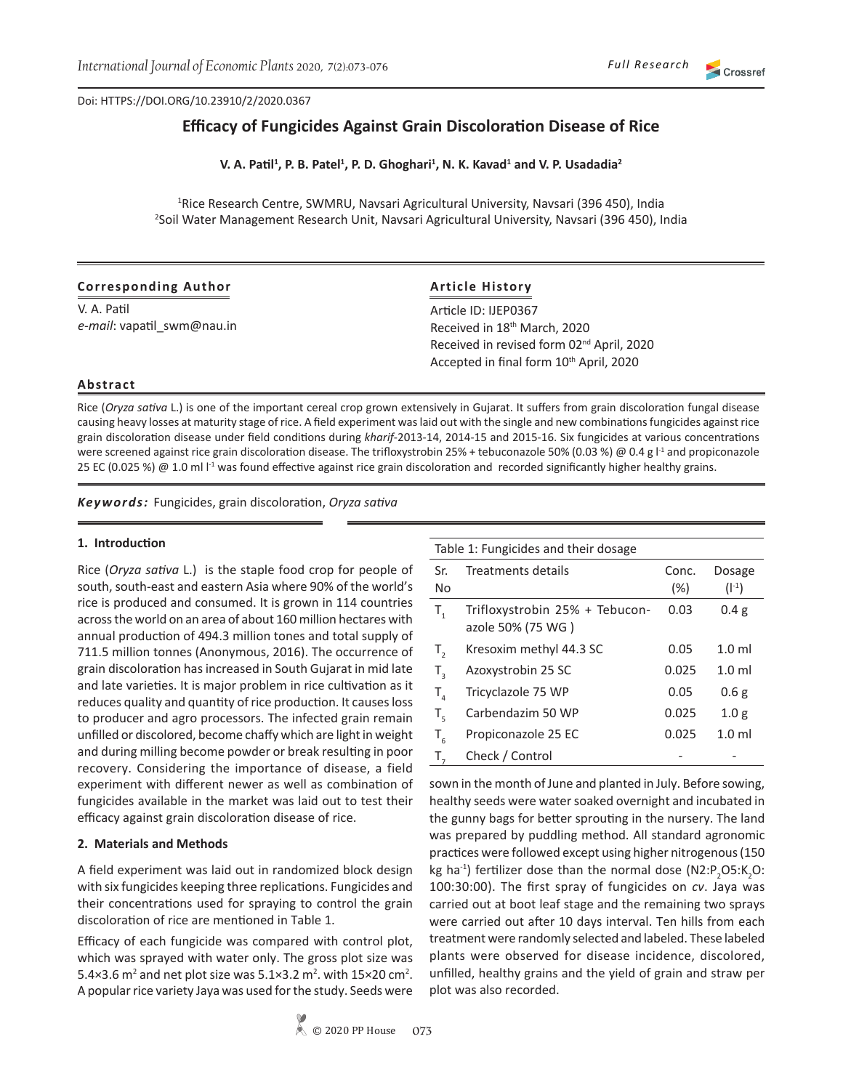# Crossref

# **Efficacy of Fungicides Against Grain Discoloration Disease of Rice**

**V. A. Patil<sup>1</sup> , P. B. Patel<sup>1</sup> , P. D. Ghoghari<sup>1</sup> , N. K. Kavad<sup>1</sup> and V. P. Usadadia<sup>2</sup>**

<sup>1</sup>Rice Research Centre, SWMRU, Navsari Agricultural University, Navsari (396 450), India 2 Soil Water Management Research Unit, Navsari Agricultural University, Navsari (396 450), India

## **Corresponding Author**

V. A. Patil *e-mail*: vapatil\_swm@nau.in

# **Article History**

Article ID: IJEP0367 Received in 18th March, 2020 Received in revised form 02nd April, 2020 Accepted in final form 10<sup>th</sup> April, 2020

#### **Abstract**

Rice (*Oryza sativa* L.) is one of the important cereal crop grown extensively in Gujarat. It suffers from grain discoloration fungal disease causing heavy losses at maturity stage of rice. A field experiment was laid out with the single and new combinations fungicides against rice grain discoloration disease under field conditions during *kharif*-2013-14, 2014-15 and 2015-16. Six fungicides at various concentrations were screened against rice grain discoloration disease. The trifloxystrobin 25% + tebuconazole 50% (0.03 %) @ 0.4 g l<sup>-1</sup> and propiconazole 25 EC (0.025 %) @ 1.0 ml  $I<sup>1</sup>$  was found effective against rice grain discoloration and recorded significantly higher healthy grains.

*Keywords:* Fungicides, grain discoloration, *Oryza sativa*

#### **1. Introduction**

Rice (*Oryza sativa* L.) is the staple food crop for people of south, south-east and eastern Asia where 90% of the world's rice is produced and consumed. It is grown in 114 countries across the world on an area of about 160 million hectares with annual production of 494.3 million tones and total supply of 711.5 million tonnes (Anonymous, 2016). The occurrence of grain discoloration has increased in South Gujarat in mid late and late varieties. It is major problem in rice cultivation as it reduces quality and quantity of rice production. It causes loss to producer and agro processors. The infected grain remain unfilled or discolored, become chaffy which are light in weight and during milling become powder or break resulting in poor recovery. Considering the importance of disease, a field experiment with different newer as well as combination of fungicides available in the market was laid out to test their efficacy against grain discoloration disease of rice.

# **2. Materials and Methods**

A field experiment was laid out in randomized block design with six fungicides keeping three replications. Fungicides and their concentrations used for spraying to control the grain discoloration of rice are mentioned in Table 1.

Efficacy of each fungicide was compared with control plot, which was sprayed with water only. The gross plot size was 5.4×3.6 m<sup>2</sup> and net plot size was  $5.1 \times 3.2$  m<sup>2</sup>. with  $15 \times 20$  cm<sup>2</sup>. A popular rice variety Jaya was used for the study. Seeds were

| Table 1: Fungicides and their dosage |                                |        |                  |  |  |  |  |  |
|--------------------------------------|--------------------------------|--------|------------------|--|--|--|--|--|
| Sr.                                  | Treatments details             | Conc.  | <b>Dosage</b>    |  |  |  |  |  |
| N <sub>0</sub>                       |                                | $(\%)$ | $(I^{-1})$       |  |  |  |  |  |
| $T_{1}$                              | Trifloxystrobin 25% + Tebucon- | 0.03   | 0.4 <sub>g</sub> |  |  |  |  |  |
|                                      | azole 50% (75 WG)              |        |                  |  |  |  |  |  |
| T,                                   | Kresoxim methyl 44.3 SC        | 0.05   | $1.0$ ml         |  |  |  |  |  |
| $T_{\rm a}$                          | Azoxystrobin 25 SC             | 0.025  | $1.0$ ml         |  |  |  |  |  |
| $T_{\rm A}$                          | Tricyclazole 75 WP             | 0.05   | 0.6g             |  |  |  |  |  |
| $T_{\rm s}$                          | Carbendazim 50 WP              | 0.025  | 1.0 <sub>g</sub> |  |  |  |  |  |
| $T_{6}$                              | Propiconazole 25 EC            | 0.025  | $1.0$ ml         |  |  |  |  |  |
| $T_{7}$                              | Check / Control                |        |                  |  |  |  |  |  |

sown in the month of June and planted in July. Before sowing, healthy seeds were water soaked overnight and incubated in the gunny bags for better sprouting in the nursery. The land was prepared by puddling method. All standard agronomic practices were followed except using higher nitrogenous (150 kg ha<sup>-1</sup>) fertilizer dose than the normal dose  $(N2:P_2O5:K_2O:$ 100:30:00). The first spray of fungicides on *cv*. Jaya was carried out at boot leaf stage and the remaining two sprays were carried out after 10 days interval. Ten hills from each treatment were randomly selected and labeled. These labeled plants were observed for disease incidence, discolored, unfilled, healthy grains and the yield of grain and straw per plot was also recorded.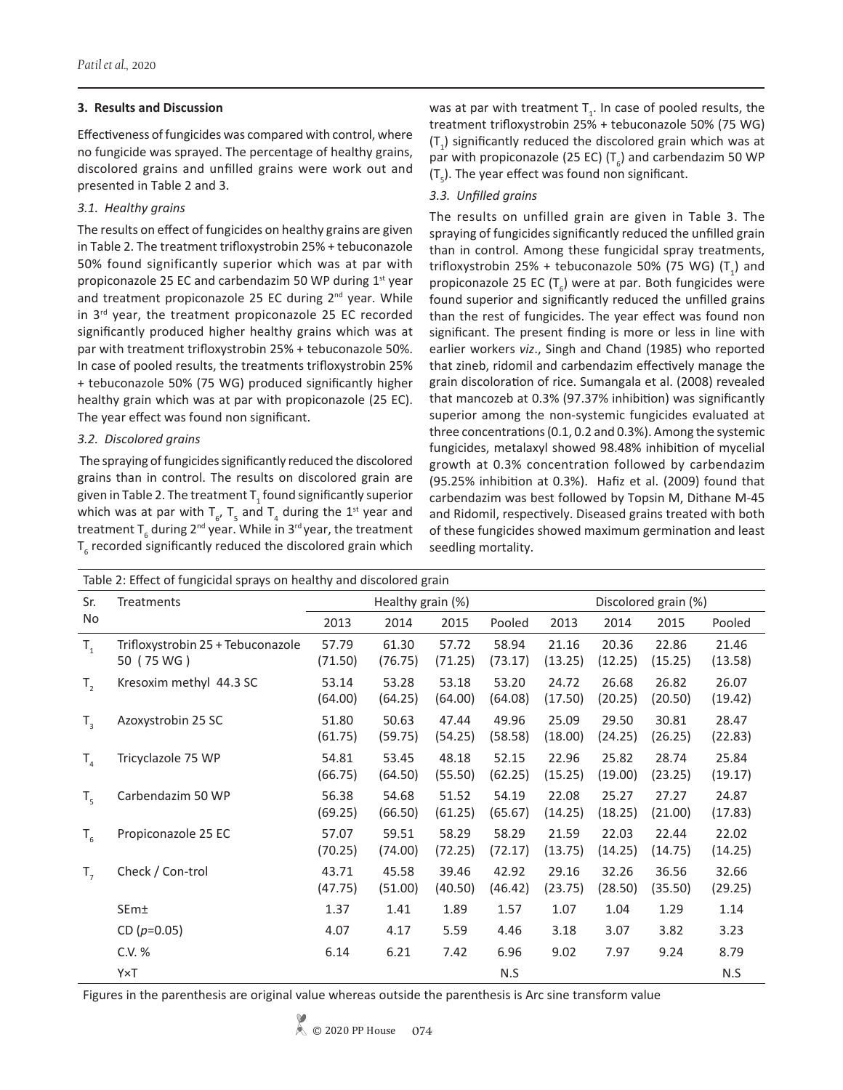## **3. Results and Discussion**

Effectiveness of fungicides was compared with control, where no fungicide was sprayed. The percentage of healthy grains, discolored grains and unfilled grains were work out and presented in Table 2 and 3.

# *3.1. Healthy grains*

The results on effect of fungicides on healthy grains are given in Table 2. The treatment trifloxystrobin 25% + tebuconazole 50% found significantly superior which was at par with propiconazole 25 EC and carbendazim 50 WP during 1<sup>st</sup> year and treatment propiconazole 25 EC during 2<sup>nd</sup> year. While in  $3^{rd}$  year, the treatment propiconazole 25 EC recorded significantly produced higher healthy grains which was at par with treatment trifloxystrobin 25% + tebuconazole 50%. In case of pooled results, the treatments trifloxystrobin 25% + tebuconazole 50% (75 WG) produced significantly higher healthy grain which was at par with propiconazole (25 EC). The year effect was found non significant.

# *3.2. Discolored grains*

 The spraying of fungicides significantly reduced the discolored grains than in control. The results on discolored grain are given in Table 2. The treatment  ${\sf T}_\mathrm{1}$  found significantly superior which was at par with  $T_{6}$ ,  $T_{5}$  and  $T_{4}$  during the 1<sup>st</sup> year and treatment T<sub>6</sub> during 2<sup>nd</sup> year. While in 3<sup>rd</sup> year, the treatment  ${\tt T_6}$  recorded significantly reduced the discolored grain which was at par with treatment  $T_i$ . In case of pooled results, the treatment trifloxystrobin 25% + tebuconazole 50% (75 WG)  $(T_1)$  significantly reduced the discolored grain which was at par with propiconazole (25 EC) ( $T_{6}$ ) and carbendazim 50 WP  $(T_5)$ . The year effect was found non significant.

# *3.3. Unfilled grains*

The results on unfilled grain are given in Table 3. The spraying of fungicides significantly reduced the unfilled grain than in control. Among these fungicidal spray treatments, trifloxystrobin 25% + tebuconazole 50% (75 WG)  $(T_1)$  and propiconazole 25 EC  $(T_{6})$  were at par. Both fungicides were found superior and significantly reduced the unfilled grains than the rest of fungicides. The year effect was found non significant. The present finding is more or less in line with earlier workers *viz*., Singh and Chand (1985) who reported that zineb, ridomil and carbendazim effectively manage the grain discoloration of rice. Sumangala et al. (2008) revealed that mancozeb at 0.3% (97.37% inhibition) was significantly superior among the non-systemic fungicides evaluated at three concentrations (0.1, 0.2 and 0.3%). Among the systemic fungicides, metalaxyl showed 98.48% inhibition of mycelial growth at 0.3% concentration followed by carbendazim (95.25% inhibition at 0.3%). Hafiz et al. (2009) found that carbendazim was best followed by Topsin M, Dithane M-45 and Ridomil, respectively. Diseased grains treated with both of these fungicides showed maximum germination and least seedling mortality.

| Table 2: Effect of fungicidal sprays on healthy and discolored grain |                                                 |                   |                  |                  |                  |                      |                  |                  |                  |
|----------------------------------------------------------------------|-------------------------------------------------|-------------------|------------------|------------------|------------------|----------------------|------------------|------------------|------------------|
| Sr.<br><b>No</b>                                                     | Treatments                                      | Healthy grain (%) |                  |                  |                  | Discolored grain (%) |                  |                  |                  |
|                                                                      |                                                 | 2013              | 2014             | 2015             | Pooled           | 2013                 | 2014             | 2015             | Pooled           |
| $T_{1}$                                                              | Trifloxystrobin 25 + Tebuconazole<br>50 (75 WG) | 57.79<br>(71.50)  | 61.30<br>(76.75) | 57.72<br>(71.25) | 58.94<br>(73.17) | 21.16<br>(13.25)     | 20.36<br>(12.25) | 22.86<br>(15.25) | 21.46<br>(13.58) |
| $T_{2}$                                                              | Kresoxim methyl 44.3 SC                         | 53.14<br>(64.00)  | 53.28<br>(64.25) | 53.18<br>(64.00) | 53.20<br>(64.08) | 24.72<br>(17.50)     | 26.68<br>(20.25) | 26.82<br>(20.50) | 26.07<br>(19.42) |
| $T_{3}$                                                              | Azoxystrobin 25 SC                              | 51.80<br>(61.75)  | 50.63<br>(59.75) | 47.44<br>(54.25) | 49.96<br>(58.58) | 25.09<br>(18.00)     | 29.50<br>(24.25) | 30.81<br>(26.25) | 28.47<br>(22.83) |
| $T_{\rm A}$                                                          | Tricyclazole 75 WP                              | 54.81<br>(66.75)  | 53.45<br>(64.50) | 48.18<br>(55.50) | 52.15<br>(62.25) | 22.96<br>(15.25)     | 25.82<br>(19.00) | 28.74<br>(23.25) | 25.84<br>(19.17) |
| $T_{5}$                                                              | Carbendazim 50 WP                               | 56.38<br>(69.25)  | 54.68<br>(66.50) | 51.52<br>(61.25) | 54.19<br>(65.67) | 22.08<br>(14.25)     | 25.27<br>(18.25) | 27.27<br>(21.00) | 24.87<br>(17.83) |
| $T_{6}$                                                              | Propiconazole 25 EC                             | 57.07<br>(70.25)  | 59.51<br>(74.00) | 58.29<br>(72.25) | 58.29<br>(72.17) | 21.59<br>(13.75)     | 22.03<br>(14.25) | 22.44<br>(14.75) | 22.02<br>(14.25) |
| $T_{7}$                                                              | Check / Con-trol                                | 43.71<br>(47.75)  | 45.58<br>(51.00) | 39.46<br>(40.50) | 42.92<br>(46.42) | 29.16<br>(23.75)     | 32.26<br>(28.50) | 36.56<br>(35.50) | 32.66<br>(29.25) |
|                                                                      | SEm±                                            | 1.37              | 1.41             | 1.89             | 1.57             | 1.07                 | 1.04             | 1.29             | 1.14             |
|                                                                      | CD ( $p=0.05$ )                                 | 4.07              | 4.17             | 5.59             | 4.46             | 3.18                 | 3.07             | 3.82             | 3.23             |
|                                                                      | C.V. %                                          | 6.14              | 6.21             | 7.42             | 6.96             | 9.02                 | 7.97             | 9.24             | 8.79             |
|                                                                      | Y×T                                             |                   |                  |                  | N.S              |                      |                  |                  | N.S              |

Figures in the parenthesis are original value whereas outside the parenthesis is Arc sine transform value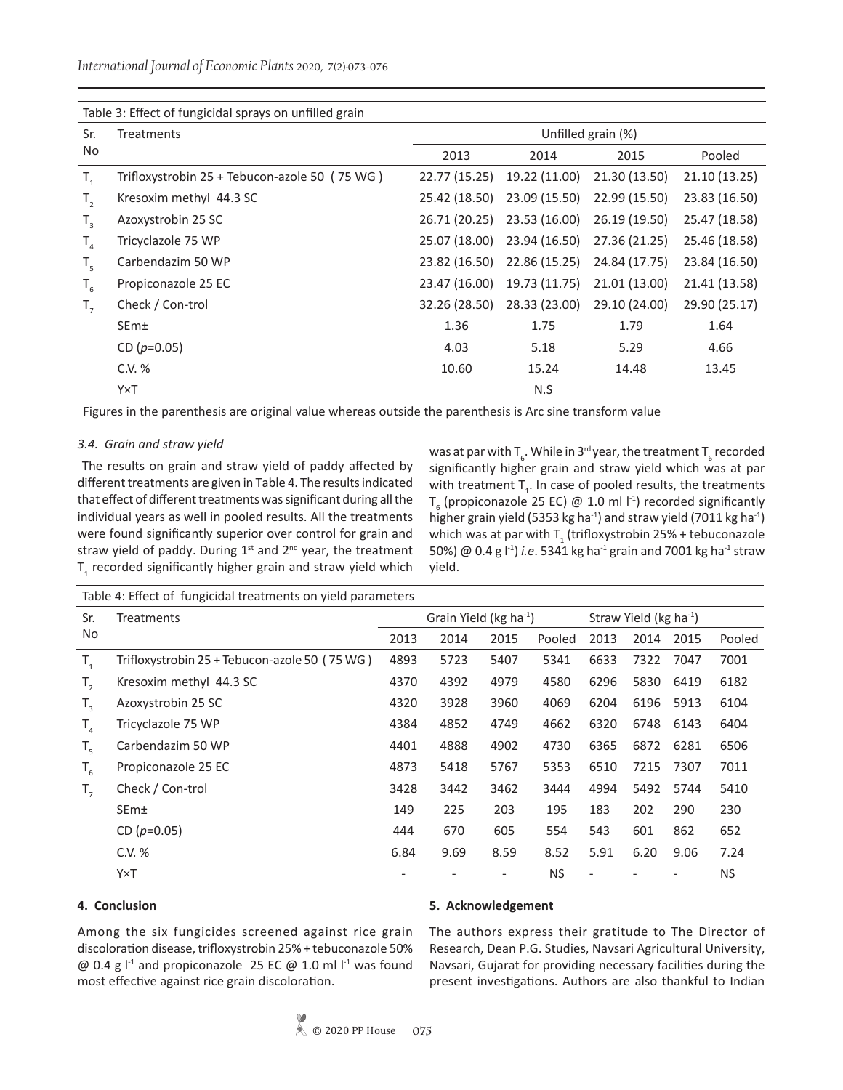*International Journal of Economic Plants* 2020, 7(2):073-076

| Table 3: Effect of fungicidal sprays on unfilled grain |                                               |                    |               |               |               |  |  |  |
|--------------------------------------------------------|-----------------------------------------------|--------------------|---------------|---------------|---------------|--|--|--|
| Sr.                                                    | <b>Treatments</b>                             | Unfilled grain (%) |               |               |               |  |  |  |
| No                                                     |                                               | 2013               | 2014          | 2015          | Pooled        |  |  |  |
| $T_{1}$                                                | Trifloxystrobin 25 + Tebucon-azole 50 (75 WG) | 22.77 (15.25)      | 19.22 (11.00) | 21.30 (13.50) | 21.10 (13.25) |  |  |  |
| $T_{2}$                                                | Kresoxim methyl 44.3 SC                       | 25.42 (18.50)      | 23.09 (15.50) | 22.99 (15.50) | 23.83 (16.50) |  |  |  |
| $T_{3}$                                                | Azoxystrobin 25 SC                            | 26.71 (20.25)      | 23.53 (16.00) | 26.19 (19.50) | 25.47 (18.58) |  |  |  |
| $T_{\scriptscriptstyle\mathcal{A}}$                    | Tricyclazole 75 WP                            | 25.07 (18.00)      | 23.94 (16.50) | 27.36 (21.25) | 25.46 (18.58) |  |  |  |
| $T_{5}$                                                | Carbendazim 50 WP                             | 23.82 (16.50)      | 22.86 (15.25) | 24.84 (17.75) | 23.84 (16.50) |  |  |  |
| $T_{6}$                                                | Propiconazole 25 EC                           | 23.47 (16.00)      | 19.73 (11.75) | 21.01 (13.00) | 21.41 (13.58) |  |  |  |
| $T_{7}$                                                | Check / Con-trol                              | 32.26 (28.50)      | 28.33 (23.00) | 29.10 (24.00) | 29.90 (25.17) |  |  |  |
|                                                        | SEm±                                          | 1.36               | 1.75          | 1.79          | 1.64          |  |  |  |
|                                                        | CD $(p=0.05)$                                 | 4.03               | 5.18          | 5.29          | 4.66          |  |  |  |
|                                                        | C.V. %                                        | 10.60              | 15.24         | 14.48         | 13.45         |  |  |  |
|                                                        | Y×T                                           |                    | N.S           |               |               |  |  |  |

Table 3: Effect of fungicidal sprays on unfilled grain

Figures in the parenthesis are original value whereas outside the parenthesis is Arc sine transform value

#### *3.4. Grain and straw yield*

 The results on grain and straw yield of paddy affected by different treatments are given in Table 4. The results indicated that effect of different treatments was significant during all the individual years as well in pooled results. All the treatments were found significantly superior over control for grain and straw yield of paddy. During  $1<sup>st</sup>$  and  $2<sup>nd</sup>$  year, the treatment  ${\tt T}_1$  recorded significantly higher grain and straw yield which

was at par with  $\mathsf{T}_{_{6}}$ . While in 3<sup>rd</sup> year, the treatment  $\mathsf{T}_{_{6}}$  recorded significantly higher grain and straw yield which was at par with treatment  $T_{1}$ . In case of pooled results, the treatments  $T_{6}$  (propiconazole 25 EC) @ 1.0 ml  $I<sup>1</sup>$ ) recorded significantly higher grain yield (5353 kg ha<sup>-1</sup>) and straw yield (7011 kg ha<sup>-1</sup>) which was at par with  ${\sf T}_1$  (trifloxystrobin 25% + tebuconazole 50%) @ 0.4 g  $\vert$ <sup>-1</sup>) *i.e.* 5341 kg ha<sup>-1</sup> grain and 7001 kg ha<sup>-1</sup> straw yield.

| Table 4: Effect of fungicidal treatments on yield parameters |                                               |                                       |      |                              |           |                                    |      |      |           |
|--------------------------------------------------------------|-----------------------------------------------|---------------------------------------|------|------------------------------|-----------|------------------------------------|------|------|-----------|
| Sr.                                                          | <b>Treatments</b>                             | Grain Yield ( $kg$ ha <sup>-1</sup> ) |      |                              |           | Straw Yield (kg ha <sup>-1</sup> ) |      |      |           |
| No                                                           |                                               | 2013                                  | 2014 | 2015                         | Pooled    | 2013                               | 2014 | 2015 | Pooled    |
| $T_{1}$                                                      | Trifloxystrobin 25 + Tebucon-azole 50 (75 WG) | 4893                                  | 5723 | 5407                         | 5341      | 6633                               | 7322 | 7047 | 7001      |
| $T_{2}$                                                      | Kresoxim methyl 44.3 SC                       | 4370                                  | 4392 | 4979                         | 4580      | 6296                               | 5830 | 6419 | 6182      |
| $T_{3}$                                                      | Azoxystrobin 25 SC                            | 4320                                  | 3928 | 3960                         | 4069      | 6204                               | 6196 | 5913 | 6104      |
| $T_{\scriptscriptstyle\mathcal{A}}$                          | Tricyclazole 75 WP                            | 4384                                  | 4852 | 4749                         | 4662      | 6320                               | 6748 | 6143 | 6404      |
| $T_{5}$                                                      | Carbendazim 50 WP                             | 4401                                  | 4888 | 4902                         | 4730      | 6365                               | 6872 | 6281 | 6506      |
| $T_{6}$                                                      | Propiconazole 25 EC                           | 4873                                  | 5418 | 5767                         | 5353      | 6510                               | 7215 | 7307 | 7011      |
| $T_{7}$                                                      | Check / Con-trol                              | 3428                                  | 3442 | 3462                         | 3444      | 4994                               | 5492 | 5744 | 5410      |
|                                                              | SEm±                                          | 149                                   | 225  | 203                          | 195       | 183                                | 202  | 290  | 230       |
|                                                              | CD $(p=0.05)$                                 | 444                                   | 670  | 605                          | 554       | 543                                | 601  | 862  | 652       |
|                                                              | C.V. %                                        | 6.84                                  | 9.69 | 8.59                         | 8.52      | 5.91                               | 6.20 | 9.06 | 7.24      |
|                                                              | Y×T                                           |                                       |      | $\qquad \qquad \blacksquare$ | <b>NS</b> | $\overline{\phantom{a}}$           |      |      | <b>NS</b> |

### **4. Conclusion**

#### **5. Acknowledgement**

Among the six fungicides screened against rice grain discoloration disease, trifloxystrobin 25% + tebuconazole 50% @ 0.4 g  $1^1$  and propiconazole 25 EC @ 1.0 ml  $1^1$  was found most effective against rice grain discoloration.

The authors express their gratitude to The Director of Research, Dean P.G. Studies, Navsari Agricultural University, Navsari, Gujarat for providing necessary facilities during the present investigations. Authors are also thankful to Indian